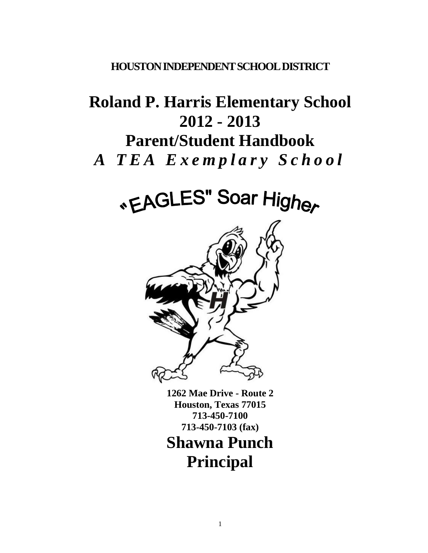# **HOUSTON INDEPENDENT SCHOOL DISTRICT**

# **Roland P. Harris Elementary School 2012 - 2013 Parent/Student Handbook** *A T E A E x e m p l a r y S c h o o l*

# «EAGLES" Soar Higher



**1262 Mae Drive - Route 2 Houston, Texas 77015 713-450-7100 713-450-7103 (fax)**

**Shawna Punch Principal**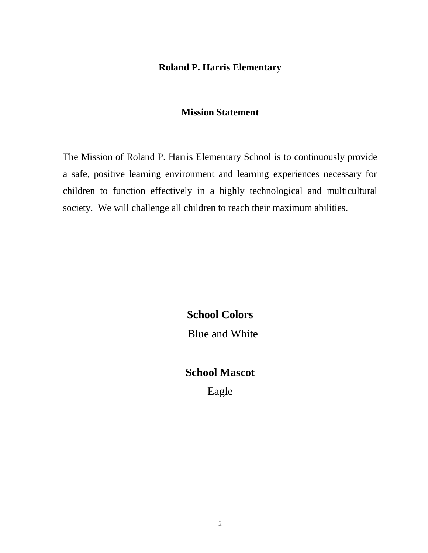# **Roland P. Harris Elementary**

#### **Mission Statement**

The Mission of Roland P. Harris Elementary School is to continuously provide a safe, positive learning environment and learning experiences necessary for children to function effectively in a highly technological and multicultural society. We will challenge all children to reach their maximum abilities.

> **School Colors** Blue and White

# **School Mascot**

Eagle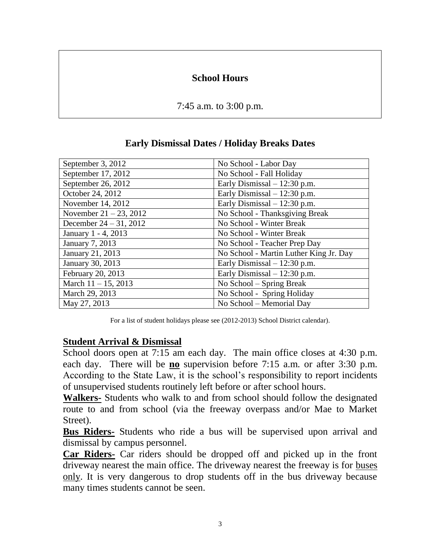# **School Hours**

7:45 a.m. to 3:00 p.m.

| September 3, 2012         | No School - Labor Day                  |
|---------------------------|----------------------------------------|
| September 17, 2012        | No School - Fall Holiday               |
| September 26, 2012        | Early Dismissal $-12:30$ p.m.          |
| October 24, 2012          | Early Dismissal $-12:30$ p.m.          |
| November 14, 2012         | Early Dismissal $-12:30$ p.m.          |
| November $21 - 23$ , 2012 | No School - Thanksgiving Break         |
| December $24 - 31$ , 2012 | No School - Winter Break               |
| January 1 - 4, 2013       | No School - Winter Break               |
| January 7, 2013           | No School - Teacher Prep Day           |
| January 21, 2013          | No School - Martin Luther King Jr. Day |
| January 30, 2013          | Early Dismissal $-12:30$ p.m.          |
| February 20, 2013         | Early Dismissal $-12:30$ p.m.          |
| March $11 - 15$ , 2013    | No School – Spring Break               |
| March 29, 2013            | No School - Spring Holiday             |
| May 27, 2013              | No School – Memorial Day               |

## **Early Dismissal Dates / Holiday Breaks Dates**

For a list of student holidays please see (2012-2013) School District calendar).

#### **Student Arrival & Dismissal**

School doors open at 7:15 am each day. The main office closes at 4:30 p.m. each day. There will be **no** supervision before 7:15 a.m. or after 3:30 p.m. According to the State Law, it is the school's responsibility to report incidents of unsupervised students routinely left before or after school hours.

**Walkers-** Students who walk to and from school should follow the designated route to and from school (via the freeway overpass and/or Mae to Market Street).

**Bus Riders-** Students who ride a bus will be supervised upon arrival and dismissal by campus personnel.

**Car Riders-** Car riders should be dropped off and picked up in the front driveway nearest the main office. The driveway nearest the freeway is for buses only. It is very dangerous to drop students off in the bus driveway because many times students cannot be seen.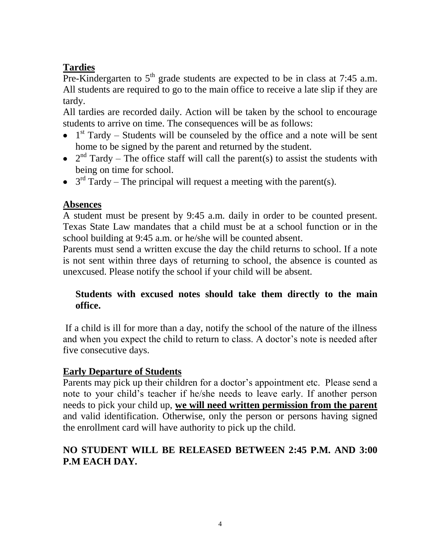# **Tardies**

Pre-Kindergarten to  $5<sup>th</sup>$  grade students are expected to be in class at 7:45 a.m. All students are required to go to the main office to receive a late slip if they are tardy.

All tardies are recorded daily. Action will be taken by the school to encourage students to arrive on time. The consequences will be as follows:

- 1<sup>st</sup> Tardy Students will be counseled by the office and a note will be sent home to be signed by the parent and returned by the student.
- $2<sup>nd</sup>$  Tardy The office staff will call the parent(s) to assist the students with being on time for school.
- $3<sup>rd</sup>$  Tardy The principal will request a meeting with the parent(s).

# **Absences**

A student must be present by 9:45 a.m. daily in order to be counted present. Texas State Law mandates that a child must be at a school function or in the school building at 9:45 a.m. or he/she will be counted absent.

Parents must send a written excuse the day the child returns to school. If a note is not sent within three days of returning to school, the absence is counted as unexcused. Please notify the school if your child will be absent.

# **Students with excused notes should take them directly to the main office.**

If a child is ill for more than a day, notify the school of the nature of the illness and when you expect the child to return to class. A doctor's note is needed after five consecutive days.

# **Early Departure of Students**

Parents may pick up their children for a doctor's appointment etc. Please send a note to your child's teacher if he/she needs to leave early. If another person needs to pick your child up, **we will need written permission from the parent** and valid identification. Otherwise, only the person or persons having signed the enrollment card will have authority to pick up the child.

# **NO STUDENT WILL BE RELEASED BETWEEN 2:45 P.M. AND 3:00 P.M EACH DAY.**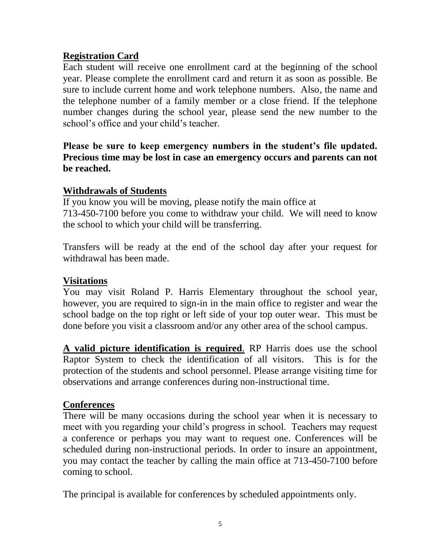# **Registration Card**

Each student will receive one enrollment card at the beginning of the school year. Please complete the enrollment card and return it as soon as possible. Be sure to include current home and work telephone numbers. Also, the name and the telephone number of a family member or a close friend. If the telephone number changes during the school year, please send the new number to the school's office and your child's teacher.

**Please be sure to keep emergency numbers in the student's file updated. Precious time may be lost in case an emergency occurs and parents can not be reached.** 

# **Withdrawals of Students**

If you know you will be moving, please notify the main office at 713-450-7100 before you come to withdraw your child. We will need to know the school to which your child will be transferring.

Transfers will be ready at the end of the school day after your request for withdrawal has been made.

# **Visitations**

You may visit Roland P. Harris Elementary throughout the school year, however, you are required to sign-in in the main office to register and wear the school badge on the top right or left side of your top outer wear. This must be done before you visit a classroom and/or any other area of the school campus.

**A valid picture identification is required**. RP Harris does use the school Raptor System to check the identification of all visitors. This is for the protection of the students and school personnel. Please arrange visiting time for observations and arrange conferences during non-instructional time.

# **Conferences**

There will be many occasions during the school year when it is necessary to meet with you regarding your child's progress in school. Teachers may request a conference or perhaps you may want to request one. Conferences will be scheduled during non-instructional periods. In order to insure an appointment, you may contact the teacher by calling the main office at 713-450-7100 before coming to school.

The principal is available for conferences by scheduled appointments only.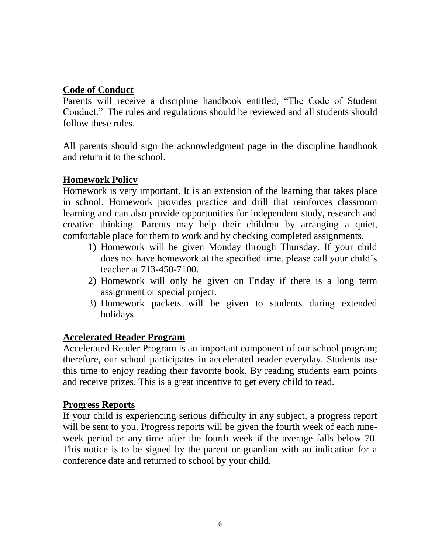# **Code of Conduct**

Parents will receive a discipline handbook entitled, "The Code of Student Conduct." The rules and regulations should be reviewed and all students should follow these rules.

All parents should sign the acknowledgment page in the discipline handbook and return it to the school.

## **Homework Policy**

Homework is very important. It is an extension of the learning that takes place in school. Homework provides practice and drill that reinforces classroom learning and can also provide opportunities for independent study, research and creative thinking. Parents may help their children by arranging a quiet, comfortable place for them to work and by checking completed assignments.

- 1) Homework will be given Monday through Thursday. If your child does not have homework at the specified time, please call your child's teacher at 713-450-7100.
- 2) Homework will only be given on Friday if there is a long term assignment or special project.
- 3) Homework packets will be given to students during extended holidays.

#### **Accelerated Reader Program**

Accelerated Reader Program is an important component of our school program; therefore, our school participates in accelerated reader everyday. Students use this time to enjoy reading their favorite book. By reading students earn points and receive prizes. This is a great incentive to get every child to read.

#### **Progress Reports**

If your child is experiencing serious difficulty in any subject, a progress report will be sent to you. Progress reports will be given the fourth week of each nineweek period or any time after the fourth week if the average falls below 70. This notice is to be signed by the parent or guardian with an indication for a conference date and returned to school by your child.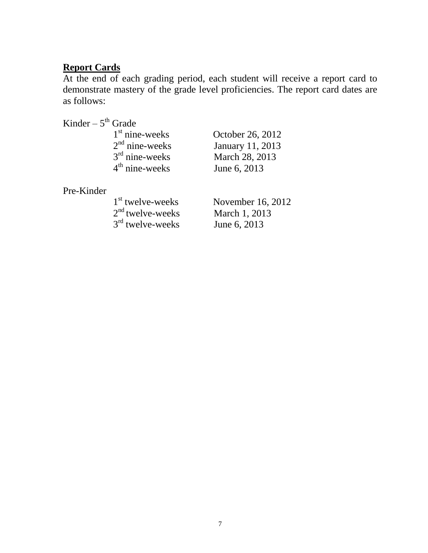#### **Report Cards**

At the end of each grading period, each student will receive a report card to demonstrate mastery of the grade level proficiencies. The report card dates are as follows:

Kinder –  $5^{\text{th}}$  Grade

| $1st$ nine-weeks |  |
|------------------|--|
| $2nd$ nine-weeks |  |
| $3rd$ nine-weeks |  |
| $4th$ nine-weeks |  |

October 26, 2012 January 11, 2013 March 28, 2013 June 6, 2013

Pre-Kinder

| 1 <sup>st</sup> twelve-weeks |
|------------------------------|
| $2nd$ twelve-weeks           |
| $3rd$ twelve-weeks           |

November 16, 2012 March 1, 2013 June 6, 2013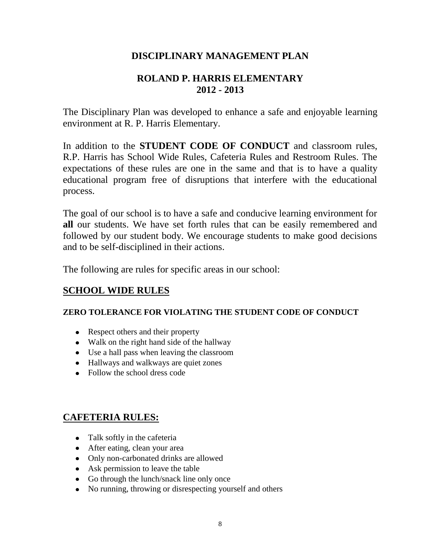# **DISCIPLINARY MANAGEMENT PLAN**

# **ROLAND P. HARRIS ELEMENTARY 2012 - 2013**

The Disciplinary Plan was developed to enhance a safe and enjoyable learning environment at R. P. Harris Elementary.

In addition to the **STUDENT CODE OF CONDUCT** and classroom rules, R.P. Harris has School Wide Rules, Cafeteria Rules and Restroom Rules. The expectations of these rules are one in the same and that is to have a quality educational program free of disruptions that interfere with the educational process.

The goal of our school is to have a safe and conducive learning environment for **all** our students. We have set forth rules that can be easily remembered and followed by our student body. We encourage students to make good decisions and to be self-disciplined in their actions.

The following are rules for specific areas in our school:

#### **SCHOOL WIDE RULES**

#### **ZERO TOLERANCE FOR VIOLATING THE STUDENT CODE OF CONDUCT**

- Respect others and their property
- Walk on the right hand side of the hallway
- Use a hall pass when leaving the classroom
- Hallways and walkways are quiet zones
- Follow the school dress code

#### **CAFETERIA RULES:**

- Talk softly in the cafeteria
- After eating, clean your area
- Only non-carbonated drinks are allowed
- Ask permission to leave the table
- Go through the lunch/snack line only once
- No running, throwing or disrespecting yourself and others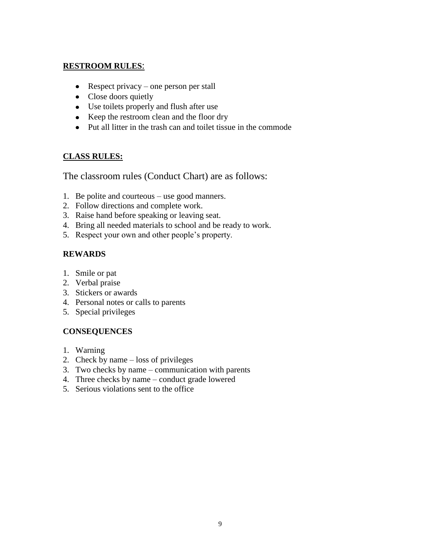#### **RESTROOM RULES**:

- Respect privacy one person per stall
- Close doors quietly
- Use toilets properly and flush after use
- Keep the restroom clean and the floor dry
- Put all litter in the trash can and toilet tissue in the commode

#### **CLASS RULES:**

The classroom rules (Conduct Chart) are as follows:

- 1. Be polite and courteous use good manners.
- 2. Follow directions and complete work.
- 3. Raise hand before speaking or leaving seat.
- 4. Bring all needed materials to school and be ready to work.
- 5. Respect your own and other people's property.

#### **REWARDS**

- 1. Smile or pat
- 2. Verbal praise
- 3. Stickers or awards
- 4. Personal notes or calls to parents
- 5. Special privileges

#### **CONSEQUENCES**

- 1. Warning
- 2. Check by name loss of privileges
- 3. Two checks by name communication with parents
- 4. Three checks by name conduct grade lowered
- 5. Serious violations sent to the office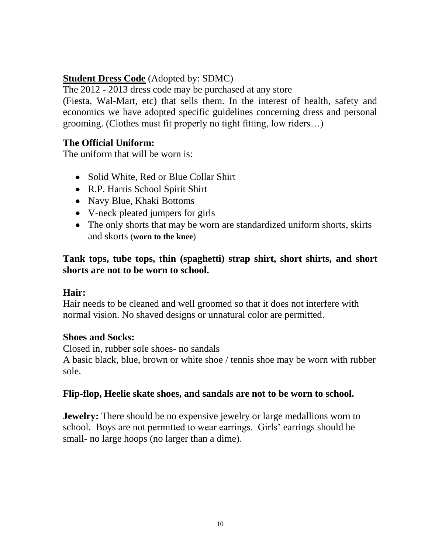# **Student Dress Code** (Adopted by: SDMC)

The 2012 - 2013 dress code may be purchased at any store

(Fiesta, Wal-Mart, etc) that sells them. In the interest of health, safety and economics we have adopted specific guidelines concerning dress and personal grooming. (Clothes must fit properly no tight fitting, low riders…)

# **The Official Uniform:**

The uniform that will be worn is:

- Solid White, Red or Blue Collar Shirt
- R.P. Harris School Spirit Shirt
- Navy Blue, Khaki Bottoms
- V-neck pleated jumpers for girls
- The only shorts that may be worn are standardized uniform shorts, skirts and skorts (**worn to the knee**)

**Tank tops, tube tops, thin (spaghetti) strap shirt, short shirts, and short shorts are not to be worn to school.**

#### **Hair:**

Hair needs to be cleaned and well groomed so that it does not interfere with normal vision. No shaved designs or unnatural color are permitted.

#### **Shoes and Socks:**

Closed in, rubber sole shoes- no sandals

A basic black, blue, brown or white shoe / tennis shoe may be worn with rubber sole.

#### **Flip-flop, Heelie skate shoes, and sandals are not to be worn to school.**

**Jewelry:** There should be no expensive jewelry or large medallions worn to school. Boys are not permitted to wear earrings. Girls' earrings should be small- no large hoops (no larger than a dime).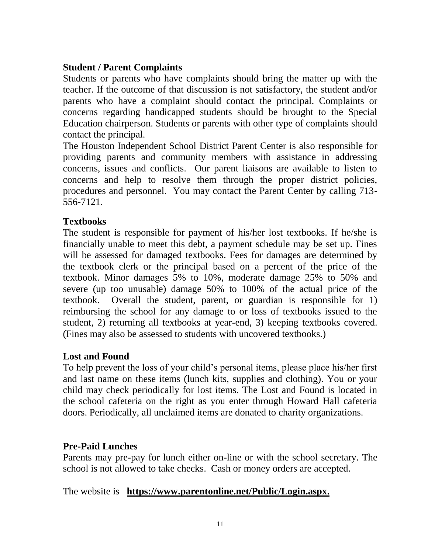# **Student / Parent Complaints**

Students or parents who have complaints should bring the matter up with the teacher. If the outcome of that discussion is not satisfactory, the student and/or parents who have a complaint should contact the principal. Complaints or concerns regarding handicapped students should be brought to the Special Education chairperson. Students or parents with other type of complaints should contact the principal.

The Houston Independent School District Parent Center is also responsible for providing parents and community members with assistance in addressing concerns, issues and conflicts. Our parent liaisons are available to listen to concerns and help to resolve them through the proper district policies, procedures and personnel. You may contact the Parent Center by calling 713- 556-7121.

# **Textbooks**

The student is responsible for payment of his/her lost textbooks. If he/she is financially unable to meet this debt, a payment schedule may be set up. Fines will be assessed for damaged textbooks. Fees for damages are determined by the textbook clerk or the principal based on a percent of the price of the textbook. Minor damages 5% to 10%, moderate damage 25% to 50% and severe (up too unusable) damage 50% to 100% of the actual price of the textbook. Overall the student, parent, or guardian is responsible for 1) reimbursing the school for any damage to or loss of textbooks issued to the student, 2) returning all textbooks at year-end, 3) keeping textbooks covered. (Fines may also be assessed to students with uncovered textbooks.)

# **Lost and Found**

To help prevent the loss of your child's personal items, please place his/her first and last name on these items (lunch kits, supplies and clothing). You or your child may check periodically for lost items. The Lost and Found is located in the school cafeteria on the right as you enter through Howard Hall cafeteria doors. Periodically, all unclaimed items are donated to charity organizations.

# **Pre-Paid Lunches**

Parents may pre-pay for lunch either on-line or with the school secretary. The school is not allowed to take checks. Cash or money orders are accepted.

#### The website is **https://www.parentonline.net/Public/Login.aspx.**